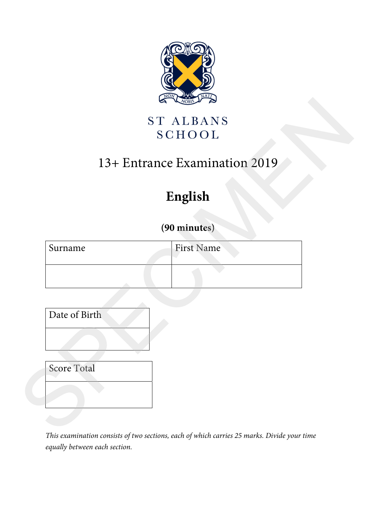

## 13+ Entrance Examination 2019

# **English**

### **(90 minutes)**

| <b>ST ALBANS</b><br>13+ Entrance Examination 2019 |  |
|---------------------------------------------------|--|
|                                                   |  |
|                                                   |  |
|                                                   |  |
|                                                   |  |
|                                                   |  |
|                                                   |  |
|                                                   |  |
|                                                   |  |
|                                                   |  |
| <b>First Name</b>                                 |  |

*This examination consists of two sections, each of which carries 25 marks. Divide your time equally between each section.*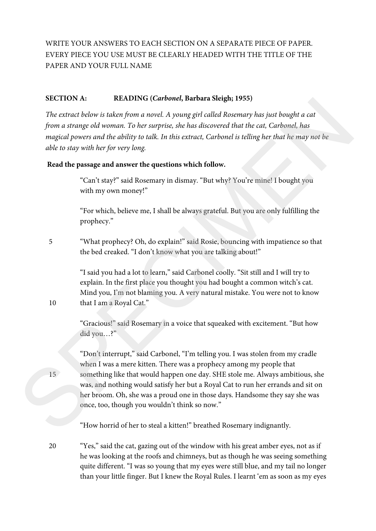WRITE YOUR ANSWERS TO EACH SECTION ON A SEPARATE PIECE OF PAPER. EVERY PIECE YOU USE MUST BE CLEARLY HEADED WITH THE TITLE OF THE PAPER AND YOUR FULL NAME

#### **SECTION A: READING (***Carbonel***, Barbara Sleigh; 1955)**

*The extract below is taken from a novel. A young girl called Rosemary has just bought a cat from a strange old woman. To her surprise, she has discovered that the cat, Carbonel, has magical powers and the ability to talk. In this extract, Carbonel is telling her that he may not be able to stay with her for very long.* 

#### **Read the passage and answer the questions which follow.**

"Can't stay?" said Rosemary in dismay. "But why? You're mine! I bought you with my own money!"

"For which, believe me, I shall be always grateful. But you are only fulfilling the prophecy."

5 "What prophecy? Oh, do explain!" said Rosie, bouncing with impatience so that the bed creaked. "I don't know what you are talking about!"

> "I said you had a lot to learn," said Carbonel coolly. "Sit still and I will try to explain. In the first place you thought you had bought a common witch's cat. Mind you, I'm not blaming you. A very natural mistake. You were not to know that I am a Royal Cat."

> "Gracious!" said Rosemary in a voice that squeaked with excitement. "But how did you…?"

"Don't interrupt," said Carbonel, "I'm telling you. I was stolen from my cradle when I was a mere kitten. There was a prophecy among my people that something like that would happen one day. SHE stole me. Always ambitious, she was, and nothing would satisfy her but a Royal Cat to run her errands and sit on her broom. Oh, she was a proud one in those days. Handsome they say she was once, too, though you wouldn't think so now." **SECTION A:**<br>
The extract below is taken in the story d, *b* points a Steight 1985)<br>
The extract below is taken from a novel A young girl caled Rosemary has just bought a cat<br>
from a strange old twoman, To her surprise, s

"How horrid of her to steal a kitten!" breathed Rosemary indignantly.

20 "Yes," said the cat, gazing out of the window with his great amber eyes, not as if he was looking at the roofs and chimneys, but as though he was seeing something quite different. "I was so young that my eyes were still blue, and my tail no longer than your little finger. But I knew the Royal Rules. I learnt 'em as soon as my eyes

10

15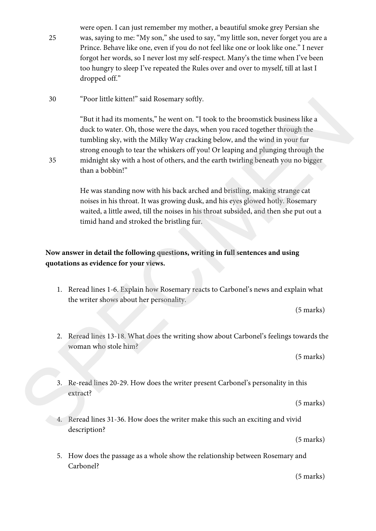25 were open. I can just remember my mother, a beautiful smoke grey Persian she was, saying to me: "My son," she used to say, "my little son, never forget you are a Prince. Behave like one, even if you do not feel like one or look like one." I never forgot her words, so I never lost my self-respect. Many's the time when I've been too hungry to sleep I've repeated the Rules over and over to myself, till at last I dropped off."

30 "Poor little kitten!" said Rosemary softly.

35

"But it had its moments," he went on. "I took to the broomstick business like a duck to water. Oh, those were the days, when you raced together through the tumbling sky, with the Milky Way cracking below, and the wind in your fur strong enough to tear the whiskers off you! Or leaping and plunging through the midnight sky with a host of others, and the earth twirling beneath you no bigger than a bobbin!" 20 The mind is momental, the went on. "Took to the broomstick business like a<br>
"But it lad its momenta," he was too, "took to the broomstick business like a<br>
duck to veater. Oh, these were the days, when you raced togethe

He was standing now with his back arched and bristling, making strange cat noises in his throat. It was growing dusk, and his eyes glowed hotly. Rosemary waited, a little awed, till the noises in his throat subsided, and then she put out a timid hand and stroked the bristling fur.

#### **Now answer in detail the following questions, writing in full sentences and using quotations as evidence for your views.**

1. Reread lines 1-6. Explain how Rosemary reacts to Carbonel's news and explain what the writer shows about her personality.

(5 marks)

2. Reread lines 13-18. What does the writing show about Carbonel's feelings towards the woman who stole him?

(5 marks)

3. Re-read lines 20-29. How does the writer present Carbonel's personality in this extract?

(5 marks)

4. Reread lines 31-36. How does the writer make this such an exciting and vivid description?

(5 marks)

5. How does the passage as a whole show the relationship between Rosemary and Carbonel?

(5 marks)